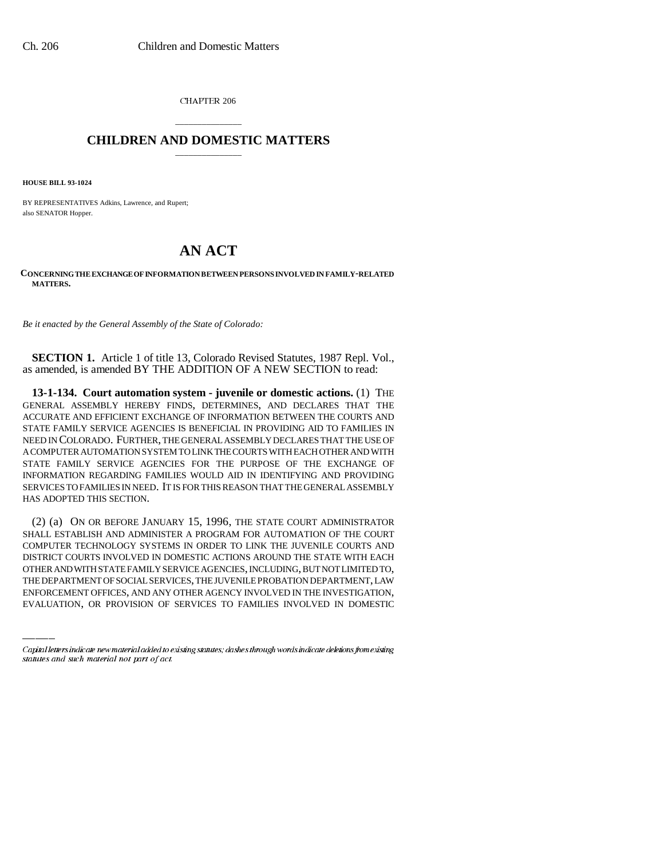CHAPTER 206

## \_\_\_\_\_\_\_\_\_\_\_\_\_\_\_ **CHILDREN AND DOMESTIC MATTERS** \_\_\_\_\_\_\_\_\_\_\_\_\_\_\_

**HOUSE BILL 93-1024**

BY REPRESENTATIVES Adkins, Lawrence, and Rupert; also SENATOR Hopper.

## **AN ACT**

**CONCERNING THE EXCHANGE OF INFORMATION BETWEEN PERSONS INVOLVED IN FAMILY-RELATED MATTERS.**

*Be it enacted by the General Assembly of the State of Colorado:*

**SECTION 1.** Article 1 of title 13, Colorado Revised Statutes, 1987 Repl. Vol., as amended, is amended BY THE ADDITION OF A NEW SECTION to read:

**13-1-134. Court automation system - juvenile or domestic actions.** (1) THE GENERAL ASSEMBLY HEREBY FINDS, DETERMINES, AND DECLARES THAT THE ACCURATE AND EFFICIENT EXCHANGE OF INFORMATION BETWEEN THE COURTS AND STATE FAMILY SERVICE AGENCIES IS BENEFICIAL IN PROVIDING AID TO FAMILIES IN NEED IN COLORADO. FURTHER, THE GENERAL ASSEMBLY DECLARES THAT THE USE OF A COMPUTER AUTOMATION SYSTEM TO LINK THE COURTS WITH EACH OTHER AND WITH STATE FAMILY SERVICE AGENCIES FOR THE PURPOSE OF THE EXCHANGE OF INFORMATION REGARDING FAMILIES WOULD AID IN IDENTIFYING AND PROVIDING SERVICES TO FAMILIES IN NEED. IT IS FOR THIS REASON THAT THE GENERAL ASSEMBLY HAS ADOPTED THIS SECTION.

DISTRICT COURTS INVOLVED IN DOMESTIC ACTIONS AROUND THE STATE WITH EACH (2) (a) ON OR BEFORE JANUARY 15, 1996, THE STATE COURT ADMINISTRATOR SHALL ESTABLISH AND ADMINISTER A PROGRAM FOR AUTOMATION OF THE COURT COMPUTER TECHNOLOGY SYSTEMS IN ORDER TO LINK THE JUVENILE COURTS AND OTHER AND WITH STATE FAMILY SERVICE AGENCIES, INCLUDING, BUT NOT LIMITED TO, THE DEPARTMENT OF SOCIAL SERVICES, THE JUVENILE PROBATION DEPARTMENT, LAW ENFORCEMENT OFFICES, AND ANY OTHER AGENCY INVOLVED IN THE INVESTIGATION, EVALUATION, OR PROVISION OF SERVICES TO FAMILIES INVOLVED IN DOMESTIC

Capital letters indicate new material added to existing statutes; dashes through words indicate deletions from existing statutes and such material not part of act.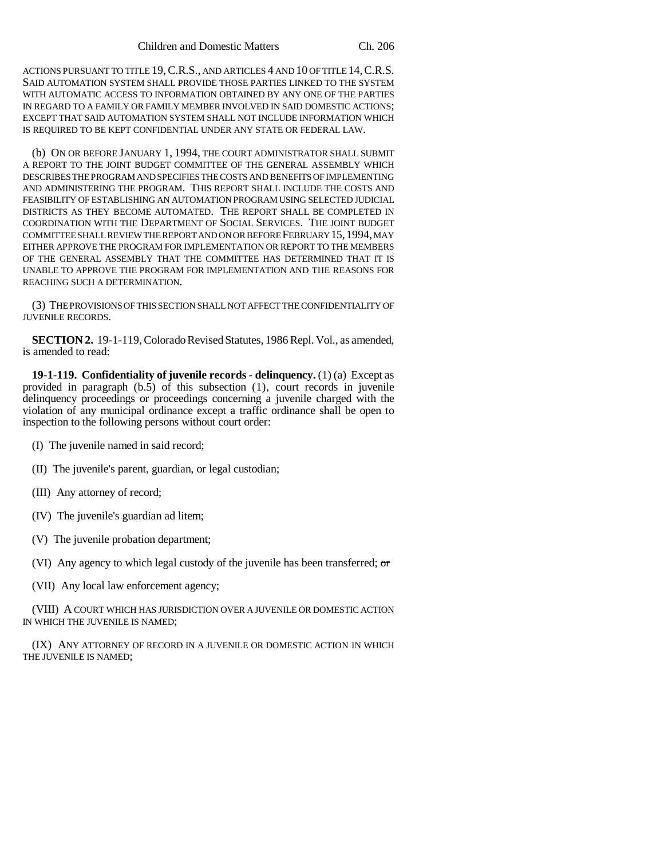ACTIONS PURSUANT TO TITLE 19, C.R.S., AND ARTICLES 4 AND 10 OF TITLE 14, C.R.S. SAID AUTOMATION SYSTEM SHALL PROVIDE THOSE PARTIES LINKED TO THE SYSTEM WITH AUTOMATIC ACCESS TO INFORMATION OBTAINED BY ANY ONE OF THE PARTIES IN REGARD TO A FAMILY OR FAMILY MEMBER INVOLVED IN SAID DOMESTIC ACTIONS; EXCEPT THAT SAID AUTOMATION SYSTEM SHALL NOT INCLUDE INFORMATION WHICH IS REQUIRED TO BE KEPT CONFIDENTIAL UNDER ANY STATE OR FEDERAL LAW.

(b) ON OR BEFORE JANUARY 1, 1994, THE COURT ADMINISTRATOR SHALL SUBMIT A REPORT TO THE JOINT BUDGET COMMITTEE OF THE GENERAL ASSEMBLY WHICH DESCRIBES THE PROGRAM AND SPECIFIES THE COSTS AND BENEFITS OF IMPLEMENTING AND ADMINISTERING THE PROGRAM. THIS REPORT SHALL INCLUDE THE COSTS AND FEASIBILITY OF ESTABLISHING AN AUTOMATION PROGRAM USING SELECTED JUDICIAL DISTRICTS AS THEY BECOME AUTOMATED. THE REPORT SHALL BE COMPLETED IN COORDINATION WITH THE DEPARTMENT OF SOCIAL SERVICES. THE JOINT BUDGET COMMITTEE SHALL REVIEW THE REPORT AND ON OR BEFORE FEBRUARY 15,1994, MAY EITHER APPROVE THE PROGRAM FOR IMPLEMENTATION OR REPORT TO THE MEMBERS OF THE GENERAL ASSEMBLY THAT THE COMMITTEE HAS DETERMINED THAT IT IS UNABLE TO APPROVE THE PROGRAM FOR IMPLEMENTATION AND THE REASONS FOR REACHING SUCH A DETERMINATION.

(3) THE PROVISIONS OF THIS SECTION SHALL NOT AFFECT THE CONFIDENTIALITY OF JUVENILE RECORDS.

**SECTION 2.** 19-1-119, Colorado Revised Statutes, 1986 Repl. Vol., as amended, is amended to read:

**19-1-119. Confidentiality of juvenile records - delinquency.** (1) (a) Except as provided in paragraph (b.5) of this subsection (1), court records in juvenile delinquency proceedings or proceedings concerning a juvenile charged with the violation of any municipal ordinance except a traffic ordinance shall be open to inspection to the following persons without court order:

- (I) The juvenile named in said record;
- (II) The juvenile's parent, guardian, or legal custodian;
- (III) Any attorney of record;
- (IV) The juvenile's guardian ad litem;
- (V) The juvenile probation department;
- (VI) Any agency to which legal custody of the juvenile has been transferred; or
- (VII) Any local law enforcement agency;

(VIII) A COURT WHICH HAS JURISDICTION OVER A JUVENILE OR DOMESTIC ACTION IN WHICH THE JUVENILE IS NAMED;

(IX) ANY ATTORNEY OF RECORD IN A JUVENILE OR DOMESTIC ACTION IN WHICH THE JUVENILE IS NAMED;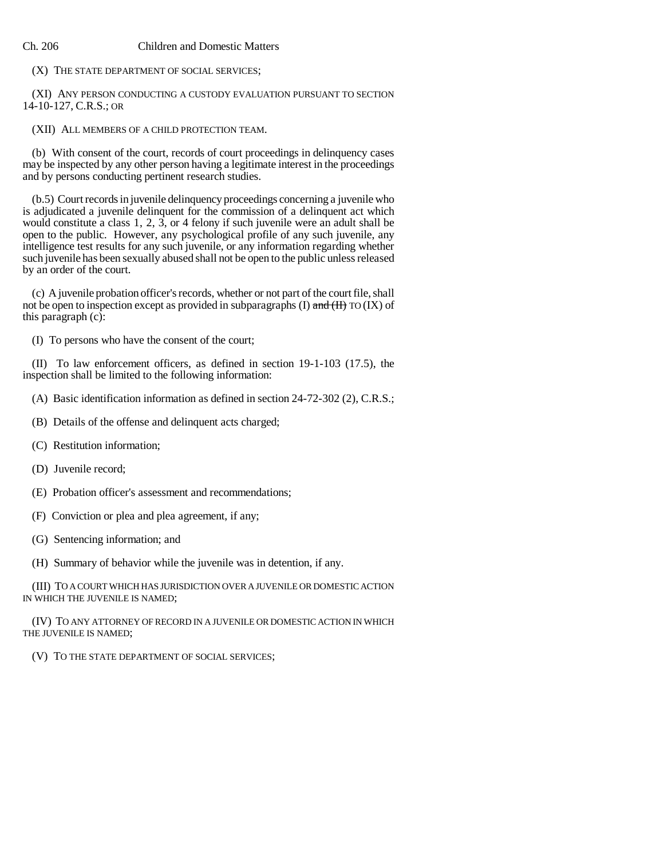## Ch. 206 Children and Domestic Matters

(X) THE STATE DEPARTMENT OF SOCIAL SERVICES;

(XI) ANY PERSON CONDUCTING A CUSTODY EVALUATION PURSUANT TO SECTION 14-10-127, C.R.S.; OR

(XII) ALL MEMBERS OF A CHILD PROTECTION TEAM.

(b) With consent of the court, records of court proceedings in delinquency cases may be inspected by any other person having a legitimate interest in the proceedings and by persons conducting pertinent research studies.

(b.5) Court records in juvenile delinquency proceedings concerning a juvenile who is adjudicated a juvenile delinquent for the commission of a delinquent act which would constitute a class 1, 2,  $\overline{3}$ , or 4 felony if such juvenile were an adult shall be open to the public. However, any psychological profile of any such juvenile, any intelligence test results for any such juvenile, or any information regarding whether such juvenile has been sexually abused shall not be open to the public unless released by an order of the court.

(c) A juvenile probation officer's records, whether or not part of the court file, shall not be open to inspection except as provided in subparagraphs (I) and  $(H)$  TO (IX) of this paragraph (c):

(I) To persons who have the consent of the court;

(II) To law enforcement officers, as defined in section 19-1-103 (17.5), the inspection shall be limited to the following information:

- (A) Basic identification information as defined in section 24-72-302 (2), C.R.S.;
- (B) Details of the offense and delinquent acts charged;
- (C) Restitution information;
- (D) Juvenile record;
- (E) Probation officer's assessment and recommendations;
- (F) Conviction or plea and plea agreement, if any;
- (G) Sentencing information; and

(H) Summary of behavior while the juvenile was in detention, if any.

(III) TO A COURT WHICH HAS JURISDICTION OVER A JUVENILE OR DOMESTIC ACTION IN WHICH THE JUVENILE IS NAMED;

(IV) TO ANY ATTORNEY OF RECORD IN A JUVENILE OR DOMESTIC ACTION IN WHICH THE JUVENILE IS NAMED;

(V) TO THE STATE DEPARTMENT OF SOCIAL SERVICES;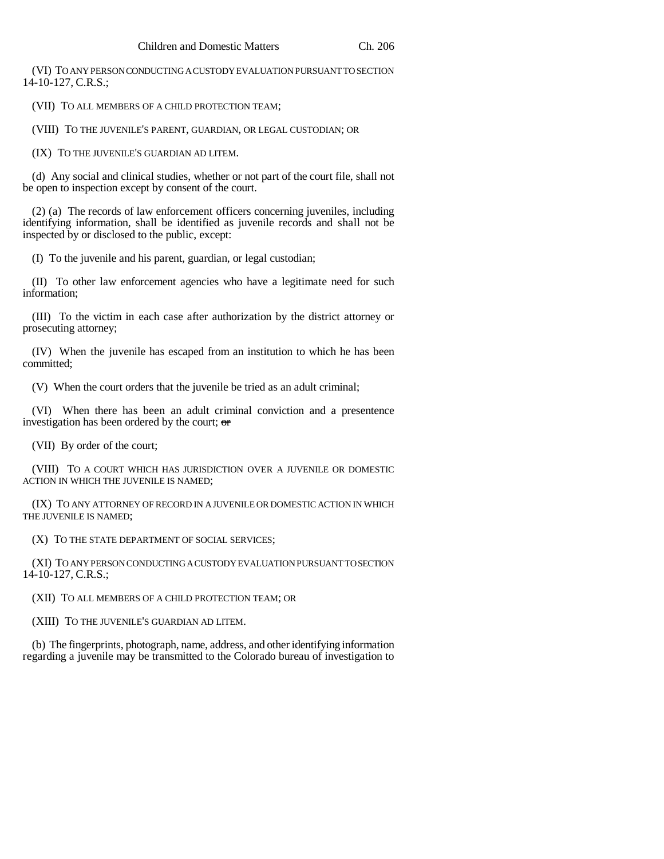(VI) TO ANY PERSON CONDUCTING A CUSTODY EVALUATION PURSUANT TO SECTION 14-10-127, C.R.S.;

(VII) TO ALL MEMBERS OF A CHILD PROTECTION TEAM;

(VIII) TO THE JUVENILE'S PARENT, GUARDIAN, OR LEGAL CUSTODIAN; OR

(IX) TO THE JUVENILE'S GUARDIAN AD LITEM.

(d) Any social and clinical studies, whether or not part of the court file, shall not be open to inspection except by consent of the court.

(2) (a) The records of law enforcement officers concerning juveniles, including identifying information, shall be identified as juvenile records and shall not be inspected by or disclosed to the public, except:

(I) To the juvenile and his parent, guardian, or legal custodian;

(II) To other law enforcement agencies who have a legitimate need for such information;

(III) To the victim in each case after authorization by the district attorney or prosecuting attorney;

(IV) When the juvenile has escaped from an institution to which he has been committed;

(V) When the court orders that the juvenile be tried as an adult criminal;

(VI) When there has been an adult criminal conviction and a presentence investigation has been ordered by the court; or

(VII) By order of the court;

(VIII) TO A COURT WHICH HAS JURISDICTION OVER A JUVENILE OR DOMESTIC ACTION IN WHICH THE JUVENILE IS NAMED;

(IX) TO ANY ATTORNEY OF RECORD IN A JUVENILE OR DOMESTIC ACTION IN WHICH THE JUVENILE IS NAMED;

(X) TO THE STATE DEPARTMENT OF SOCIAL SERVICES;

(XI) TO ANY PERSON CONDUCTING A CUSTODY EVALUATION PURSUANT TO SECTION 14-10-127, C.R.S.;

(XII) TO ALL MEMBERS OF A CHILD PROTECTION TEAM; OR

(XIII) TO THE JUVENILE'S GUARDIAN AD LITEM.

(b) The fingerprints, photograph, name, address, and other identifying information regarding a juvenile may be transmitted to the Colorado bureau of investigation to